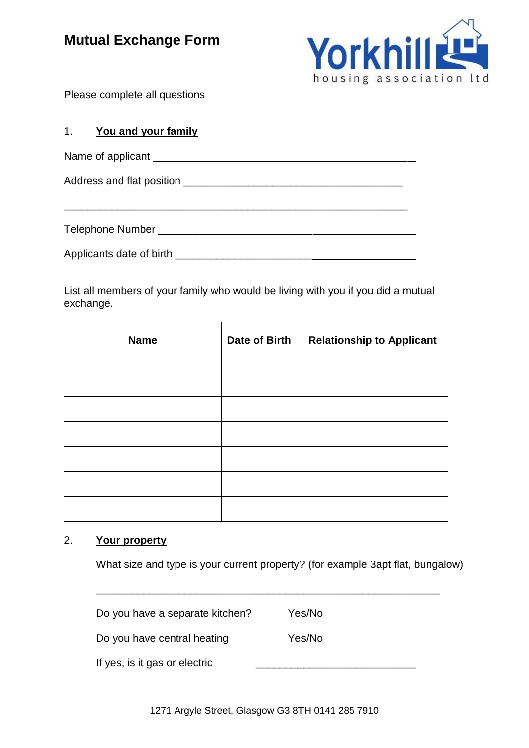# **Mutual Exchange Form**



Please complete all questions

### 1. **You and your family**

| Name of applicant                  |  |  |
|------------------------------------|--|--|
|                                    |  |  |
|                                    |  |  |
| Telephone Number _________________ |  |  |

Applicants date of birth \_\_\_\_\_\_\_\_\_\_\_\_\_\_\_\_\_\_\_\_\_\_\_

List all members of your family who would be living with you if you did a mutual exchange.

| <b>Name</b> | Date of Birth | <b>Relationship to Applicant</b> |
|-------------|---------------|----------------------------------|
|             |               |                                  |
|             |               |                                  |
|             |               |                                  |
|             |               |                                  |
|             |               |                                  |
|             |               |                                  |
|             |               |                                  |

### 2. **Your property**

What size and type is your current property? (for example 3apt flat, bungalow)

\_\_\_\_\_\_\_\_\_\_\_\_\_\_\_\_\_\_\_\_\_\_\_\_\_\_\_\_\_\_\_\_\_\_\_\_\_\_\_\_\_\_\_\_\_\_\_\_\_\_\_\_\_\_\_\_\_\_

| Do you have a separate kitchen? | Yes/No |
|---------------------------------|--------|
| Do you have central heating     | Yes/No |
| If yes, is it gas or electric   |        |